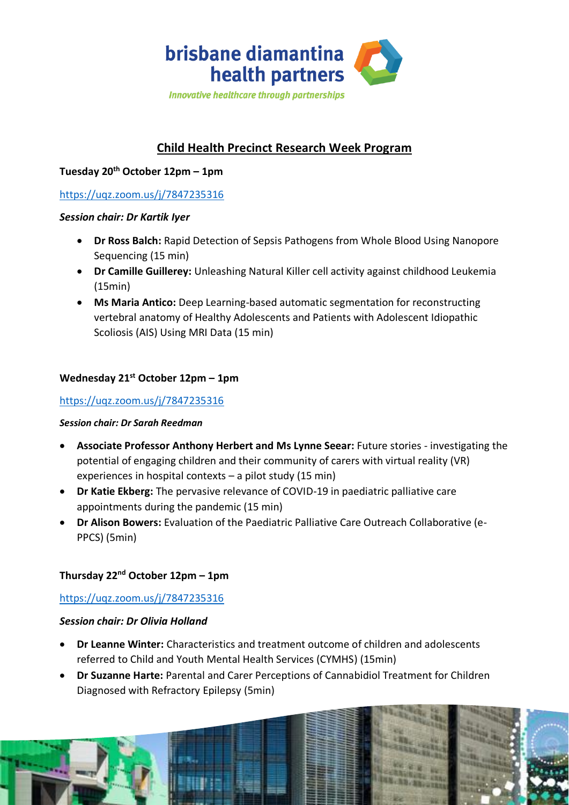

# **Child Health Precinct Research Week Program**

## **Tuesday 20th October 12pm – 1pm**

## <https://uqz.zoom.us/j/7847235316>

#### *Session chair: Dr Kartik Iyer*

- **Dr Ross Balch:** Rapid Detection of Sepsis Pathogens from Whole Blood Using Nanopore Sequencing (15 min)
- **Dr Camille Guillerey:** Unleashing Natural Killer cell activity against childhood Leukemia (15min)
- **Ms Maria Antico:** Deep Learning-based automatic segmentation for reconstructing vertebral anatomy of Healthy Adolescents and Patients with Adolescent Idiopathic Scoliosis (AIS) Using MRI Data (15 min)

## **Wednesday 21st October 12pm – 1pm**

## <https://uqz.zoom.us/j/7847235316>

#### *Session chair: Dr Sarah Reedman*

- **Associate Professor Anthony Herbert and Ms Lynne Seear:** Future stories investigating the potential of engaging children and their community of carers with virtual reality (VR) experiences in hospital contexts – a pilot study (15 min)
- **Dr Katie Ekberg:** The pervasive relevance of COVID-19 in paediatric palliative care appointments during the pandemic (15 min)
- **Dr Alison Bowers:** Evaluation of the Paediatric Palliative Care Outreach Collaborative (e-PPCS) (5min)

## **Thursday 22nd October 12pm – 1pm**

#### <https://uqz.zoom.us/j/7847235316>

#### *Session chair: Dr Olivia Holland*

- **Dr Leanne Winter:** Characteristics and treatment outcome of children and adolescents referred to Child and Youth Mental Health Services (CYMHS) (15min)
- **Dr Suzanne Harte:** Parental and Carer Perceptions of Cannabidiol Treatment for Children Diagnosed with Refractory Epilepsy (5min)